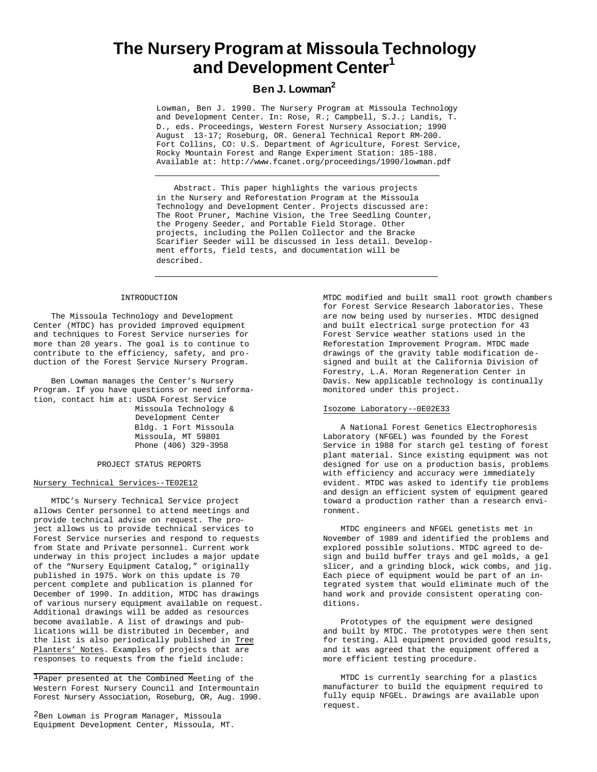# **The Nursery Program at Missoula Technology and Development Center<sup>1</sup>**

# **Ben J. Lowman<sup>2</sup>**

Lowman, Ben J. 1990. The Nursery Program at Missoula Technology and Development Center. In: Rose, R.; Campbell, S.J.; Landis, T. D., eds. Proceedings, Western Forest Nursery Association; 1990 August 13-17; Roseburg, OR. General Technical Report RM-200. Fort Collins, CO: U.S. Department of Agriculture, Forest Service, Rocky Mountain Forest and Range Experiment Station: 185-188. Available at: http://www.fcanet.org/proceedings/1990/lowman.pdf

Abstract. This paper highlights the various projects in the Nursery and Reforestation Program at the Missoula Technology and Development Center. Projects discussed are: The Root Pruner, Machine Vision, the Tree Seedling Counter, the Progeny Seeder, and Portable Field Storage. Other projects, including the Pollen Collector and the Bracke Scarifier Seeder will be discussed in less detail. Development efforts, field tests, and documentation will be described.

#### INTRODUCTION

The Missoula Technology and Development Center (MTDC) has provided improved equipment and techniques to Forest Service nurseries for more than 20 years. The goal is to continue to contribute to the efficiency, safety, and production of the Forest Service Nursery Program.

Ben Lowman manages the Center's Nursery Program. If you have questions or need information, contact him at: USDA Forest Service Missoula Technology &

 Development Center Bldg. 1 Fort Missoula Missoula, MT 59801 Phone (406) 329-3958

#### PROJECT STATUS REPORTS

#### Nursery Technical Services--TE02E12

MTDC's Nursery Technical Service project allows Center personnel to attend meetings and provide technical advise on request. The project allows us to provide technical services to Forest Service nurseries and respond to requests from State and Private personnel. Current work underway in this project includes a major update of the "Nursery Equipment Catalog," originally published in 1975. Work on this update is 70 percent complete and publication is planned for December of 1990. In addition, MTDC has drawings of various nursery equipment available on request. Additional drawings will be added as resources become available. A list of drawings and publications will be distributed in December, and the list is also periodically published in Tree Planters' Notes. Examples of projects that are responses to requests from the field include:

1Paper presented at the Combined Meeting of the Western Forest Nursery Council and Intermountain Forest Nursery Association, Roseburg, OR, Aug. 1990.

2Ben Lowman is Program Manager, Missoula Equipment Development Center, Missoula, MT. MTDC modified and built small root growth chambers for Forest Service Research laboratories. These are now being used by nurseries. MTDC designed and built electrical surge protection for 43 Forest Service weather stations used in the Reforestation Improvement Program. MTDC made drawings of the gravity table modification designed and built at the California Division of Forestry, L.A. Moran Regeneration Center in Davis. New applicable technology is continually monitored under this project.

## Isozome Laboratory--0E02E33

A National Forest Genetics Electrophoresis Laboratory (NFGEL) was founded by the Forest Service in 1988 for starch gel testing of forest plant material. Since existing equipment was not designed for use on a production basis, problems with efficiency and accuracy were immediately evident. MTDC was asked to identify tie problems and design an efficient system of equipment geared toward a production rather than a research environment.

MTDC engineers and NFGEL genetists met in November of 1989 and identified the problems and explored possible solutions. MTDC agreed to design and build buffer trays and gel molds, a gel slicer, and a grinding block, wick combs, and jig. Each piece of equipment would be part of an integrated system that would eliminate much of the hand work and provide consistent operating conditions.

Prototypes of the equipment were designed and built by MTDC. The prototypes were then sent for testing. All equipment provided good results, and it was agreed that the equipment offered a more efficient testing procedure.

MTDC is currently searching for a plastics manufacturer to build the equipment required to fully equip NFGEL. Drawings are available upon request.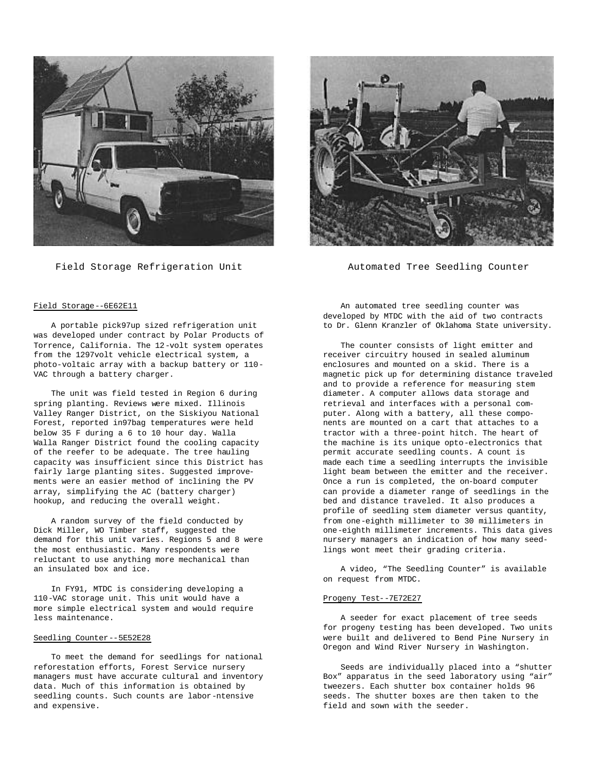

Field Storage Refrigeration Unit



Automated Tree Seedling Counter

### Field Storage--6E62E11

A portable pick97up sized refrigeration unit was developed under contract by Polar Products of Torrence, California. The 12-volt system operates from the 1297volt vehicle electrical system, a photo-voltaic array with a backup battery or 110- VAC through a battery charger.

The unit was field tested in Region 6 during spring planting. Reviews were mixed. Illinois Valley Ranger District, on the Siskiyou National Forest, reported in97bag temperatures were held below 35 F during a 6 to 10 hour day. Walla Walla Ranger District found the cooling capacity of the reefer to be adequate. The tree hauling capacity was insufficient since this District has fairly large planting sites. Suggested improvements were an easier method of inclining the PV array, simplifying the AC (battery charger) hookup, and reducing the overall weight.

A random survey of the field conducted by Dick Miller, WO Timber staff, suggested the demand for this unit varies. Regions 5 and 8 were the most enthusiastic. Many respondents were reluctant to use anything more mechanical than an insulated box and ice.

In FY91, MTDC is considering developing a 110-VAC storage unit. This unit would have a more simple electrical system and would require less maintenance.

#### Seedling Counter--5E52E28

To meet the demand for seedlings for national reforestation efforts, Forest Service nursery managers must have accurate cultural and inventory data. Much of this information is obtained by seedling counts. Such counts are labor-ntensive and expensive.

An automated tree seedling counter was developed by MTDC with the aid of two contracts to Dr. Glenn Kranzler of Oklahoma State university.

The counter consists of light emitter and receiver circuitry housed in sealed aluminum enclosures and mounted on a skid. There is a magnetic pick up for determining distance traveled and to provide a reference for measuring stem diameter. A computer allows data storage and retrieval and interfaces with a personal computer. Along with a battery, all these components are mounted on a cart that attaches to a tractor with a three-point hitch. The heart of the machine is its unique opto-electronics that permit accurate seedling counts. A count is made each time a seedling interrupts the invisible light beam between the emitter and the receiver. Once a run is completed, the on-board computer can provide a diameter range of seedlings in the bed and distance traveled. It also produces a profile of seedling stem diameter versus quantity, from one-eighth millimeter to 30 millimeters in one-eighth millimeter increments. This data gives nursery managers an indication of how many seedlings wont meet their grading criteria.

A video, "The Seedling Counter" is available on request from MTDC.

#### Progeny Test--7E72E27

A seeder for exact placement of tree seeds for progeny testing has been developed. Two units were built and delivered to Bend Pine Nursery in Oregon and Wind River Nursery in Washington.

Seeds are individually placed into a "shutter Box" apparatus in the seed laboratory using "air" tweezers. Each shutter box container holds 96 seeds. The shutter boxes are then taken to the field and sown with the seeder.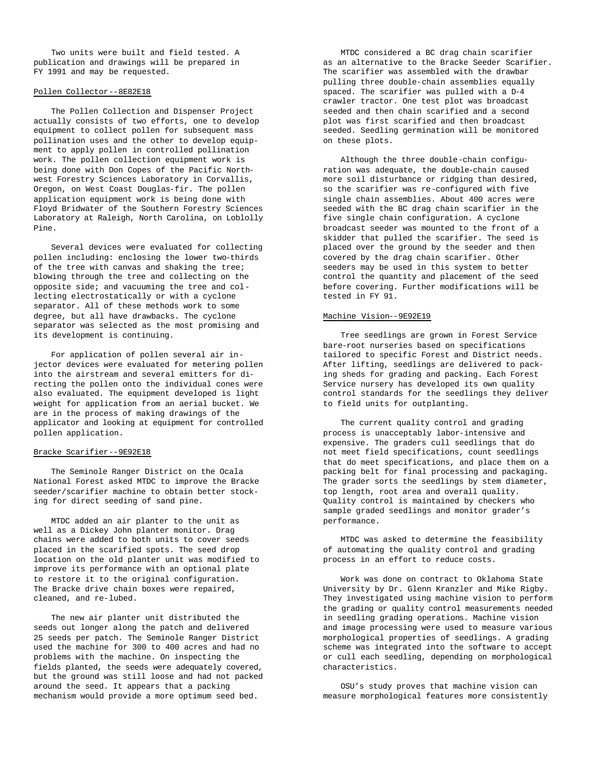Two units were built and field tested. A publication and drawings will be prepared in FY 1991 and may be requested.

#### Pollen Collector--8E82E18

The Pollen Collection and Dispenser Project actually consists of two efforts, one to develop equipment to collect pollen for subsequent mass pollination uses and the other to develop equipment to apply pollen in controlled pollination work. The pollen collection equipment work is being done with Don Copes of the Pacific Northwest Forestry Sciences Laboratory in Corvallis, Oregon, on West Coast Douglas-fir. The pollen application equipment work is being done with Floyd Bridwater of the Southern Forestry Sciences Laboratory at Raleigh, North Carolina, on Loblolly Pine.

Several devices were evaluated for collecting pollen including: enclosing the lower two-thirds of the tree with canvas and shaking the tree; blowing through the tree and collecting on the opposite side; and vacuuming the tree and collecting electrostatically or with a cyclone separator. All of these methods work to some degree, but all have drawbacks. The cyclone separator was selected as the most promising and its development is continuing.

For application of pollen several air injector devices were evaluated for metering pollen into the airstream and several emitters for directing the pollen onto the individual cones were also evaluated. The equipment developed is light weight for application from an aerial bucket. We are in the process of making drawings of the applicator and looking at equipment for controlled pollen application.

#### Bracke Scarifier--9E92E18

The Seminole Ranger District on the Ocala National Forest asked MTDC to improve the Bracke seeder/scarifier machine to obtain better stocking for direct seeding of sand pine.

MTDC added an air planter to the unit as well as a Dickey John planter monitor. Drag chains were added to both units to cover seeds placed in the scarified spots. The seed drop location on the old planter unit was modified to improve its performance with an optional plate to restore it to the original configuration. The Bracke drive chain boxes were repaired, cleaned, and re-lubed.

The new air planter unit distributed the seeds out longer along the patch and delivered 25 seeds per patch. The Seminole Ranger District used the machine for 300 to 400 acres and had no problems with the machine. On inspecting the fields planted, the seeds were adequately covered, but the ground was still loose and had not packed around the seed. It appears that a packing mechanism would provide a more optimum seed bed.

MTDC considered a BC drag chain scarifier as an alternative to the Bracke Seeder Scarifier. The scarifier was assembled with the drawbar pulling three double-chain assemblies equally spaced. The scarifier was pulled with a D-4 crawler tractor. One test plot was broadcast seeded and then chain scarified and a second plot was first scarified and then broadcast seeded. Seedling germination will be monitored on these plots.

Although the three double-chain configuration was adequate, the double-chain caused more soil disturbance or ridging than desired, so the scarifier was re-configured with five single chain assemblies. About 400 acres were seeded with the BC drag chain scarifier in the five single chain configuration. A cyclone broadcast seeder was mounted to the front of a skidder that pulled the scarifier. The seed is placed over the ground by the seeder and then covered by the drag chain scarifier. Other seeders may be used in this system to better control the quantity and placement of the seed before covering. Further modifications will be tested in FY 91.

#### Machine Vision--9E92E19

Tree seedlings are grown in Forest Service bare-root nurseries based on specifications tailored to specific Forest and District needs. After lifting, seedlings are delivered to packing sheds for grading and packing. Each Forest Service nursery has developed its own quality control standards for the seedlings they deliver to field units for outplanting.

The current quality control and grading process is unacceptably labor-intensive and expensive. The graders cull seedlings that do not meet field specifications, count seedlings that do meet specifications, and place them on a packing belt for final processing and packaging. The grader sorts the seedlings by stem diameter, top length, root area and overall quality. Quality control is maintained by checkers who sample graded seedlings and monitor grader's performance.

MTDC was asked to determine the feasibility of automating the quality control and grading process in an effort to reduce costs.

Work was done on contract to Oklahoma State University by Dr. Glenn Kranzler and Mike Rigby. They investigated using machine vision to perform the grading or quality control measurements needed in seedling grading operations. Machine vision and image processing were used to measure various morphological properties of seedlings. A grading scheme was integrated into the software to accept or cull each seedling, depending on morphological characteristics.

OSU's study proves that machine vision can measure morphological features more consistently